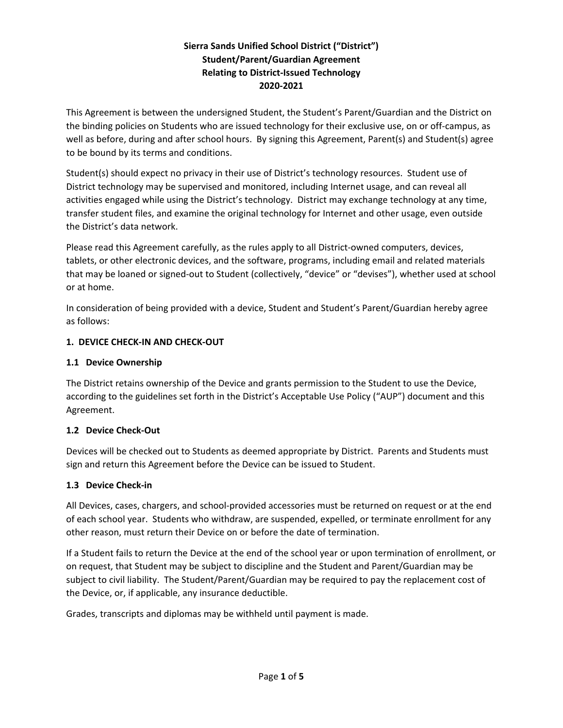# **Sierra Sands Unified School District ("District") Student/Parent/Guardian Agreement Relating to District‐Issued Technology 2020‐2021**

This Agreement is between the undersigned Student, the Student's Parent/Guardian and the District on the binding policies on Students who are issued technology for their exclusive use, on or off‐campus, as well as before, during and after school hours. By signing this Agreement, Parent(s) and Student(s) agree to be bound by its terms and conditions.

Student(s) should expect no privacy in their use of District's technology resources. Student use of District technology may be supervised and monitored, including Internet usage, and can reveal all activities engaged while using the District's technology. District may exchange technology at any time, transfer student files, and examine the original technology for Internet and other usage, even outside the District's data network.

Please read this Agreement carefully, as the rules apply to all District-owned computers, devices, tablets, or other electronic devices, and the software, programs, including email and related materials that may be loaned or signed‐out to Student (collectively, "device" or "devises"), whether used at school or at home.

In consideration of being provided with a device, Student and Student's Parent/Guardian hereby agree as follows:

# **1. DEVICE CHECK‐IN AND CHECK‐OUT**

# **1.1 Device Ownership**

The District retains ownership of the Device and grants permission to the Student to use the Device, according to the guidelines set forth in the District's Acceptable Use Policy ("AUP") document and this Agreement.

# **1.2 Device Check‐Out**

Devices will be checked out to Students as deemed appropriate by District. Parents and Students must sign and return this Agreement before the Device can be issued to Student.

# **1.3 Device Check‐in**

All Devices, cases, chargers, and school‐provided accessories must be returned on request or at the end of each school year. Students who withdraw, are suspended, expelled, or terminate enrollment for any other reason, must return their Device on or before the date of termination.

If a Student fails to return the Device at the end of the school year or upon termination of enrollment, or on request, that Student may be subject to discipline and the Student and Parent/Guardian may be subject to civil liability. The Student/Parent/Guardian may be required to pay the replacement cost of the Device, or, if applicable, any insurance deductible.

Grades, transcripts and diplomas may be withheld until payment is made.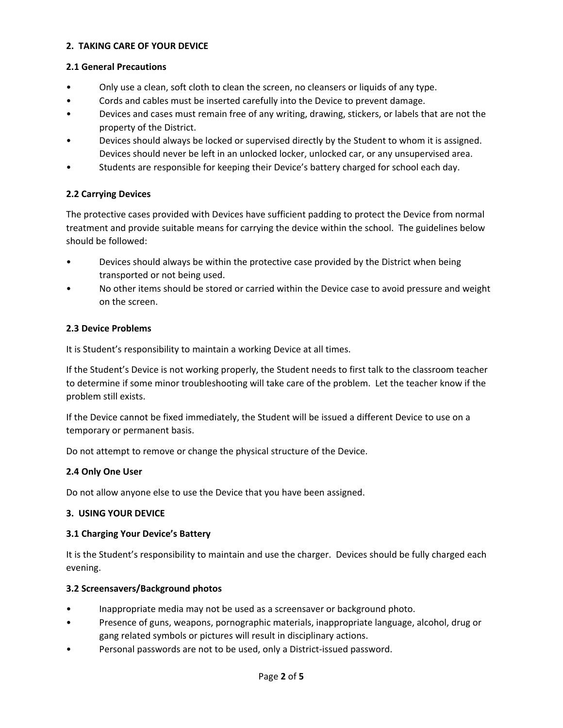### **2. TAKING CARE OF YOUR DEVICE**

### **2.1 General Precautions**

- Only use a clean, soft cloth to clean the screen, no cleansers or liquids of any type.
- Cords and cables must be inserted carefully into the Device to prevent damage.
- Devices and cases must remain free of any writing, drawing, stickers, or labels that are not the property of the District.
- Devices should always be locked or supervised directly by the Student to whom it is assigned. Devices should never be left in an unlocked locker, unlocked car, or any unsupervised area.
- Students are responsible for keeping their Device's battery charged for school each day.

# **2.2 Carrying Devices**

The protective cases provided with Devices have sufficient padding to protect the Device from normal treatment and provide suitable means for carrying the device within the school. The guidelines below should be followed:

- Devices should always be within the protective case provided by the District when being transported or not being used.
- No other items should be stored or carried within the Device case to avoid pressure and weight on the screen.

# **2.3 Device Problems**

It is Student's responsibility to maintain a working Device at all times.

If the Student's Device is not working properly, the Student needs to first talk to the classroom teacher to determine if some minor troubleshooting will take care of the problem. Let the teacher know if the problem still exists.

If the Device cannot be fixed immediately, the Student will be issued a different Device to use on a temporary or permanent basis.

Do not attempt to remove or change the physical structure of the Device.

# **2.4 Only One User**

Do not allow anyone else to use the Device that you have been assigned.

### **3. USING YOUR DEVICE**

# **3.1 Charging Your Device's Battery**

It is the Student's responsibility to maintain and use the charger. Devices should be fully charged each evening.

# **3.2 Screensavers/Background photos**

- Inappropriate media may not be used as a screensaver or background photo.
- Presence of guns, weapons, pornographic materials, inappropriate language, alcohol, drug or gang related symbols or pictures will result in disciplinary actions.
- Personal passwords are not to be used, only a District‐issued password.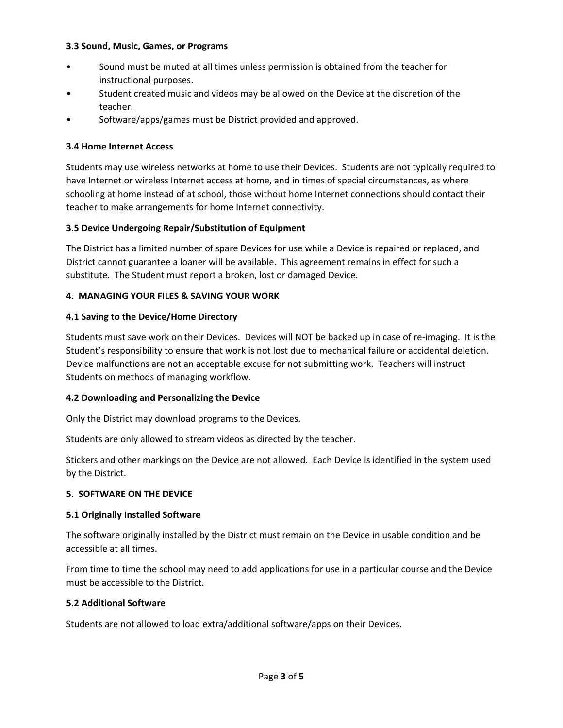### **3.3 Sound, Music, Games, or Programs**

- Sound must be muted at all times unless permission is obtained from the teacher for instructional purposes.
- Student created music and videos may be allowed on the Device at the discretion of the teacher.
- Software/apps/games must be District provided and approved.

### **3.4 Home Internet Access**

Students may use wireless networks at home to use their Devices. Students are not typically required to have Internet or wireless Internet access at home, and in times of special circumstances, as where schooling at home instead of at school, those without home Internet connections should contact their teacher to make arrangements for home Internet connectivity.

### **3.5 Device Undergoing Repair/Substitution of Equipment**

The District has a limited number of spare Devices for use while a Device is repaired or replaced, and District cannot guarantee a loaner will be available. This agreement remains in effect for such a substitute. The Student must report a broken, lost or damaged Device.

### **4. MANAGING YOUR FILES & SAVING YOUR WORK**

### **4.1 Saving to the Device/Home Directory**

Students must save work on their Devices. Devices will NOT be backed up in case of re-imaging. It is the Student's responsibility to ensure that work is not lost due to mechanical failure or accidental deletion. Device malfunctions are not an acceptable excuse for not submitting work. Teachers will instruct Students on methods of managing workflow.

### **4.2 Downloading and Personalizing the Device**

Only the District may download programs to the Devices.

Students are only allowed to stream videos as directed by the teacher.

Stickers and other markings on the Device are not allowed. Each Device is identified in the system used by the District.

### **5. SOFTWARE ON THE DEVICE**

### **5.1 Originally Installed Software**

The software originally installed by the District must remain on the Device in usable condition and be accessible at all times.

From time to time the school may need to add applications for use in a particular course and the Device must be accessible to the District.

### **5.2 Additional Software**

Students are not allowed to load extra/additional software/apps on their Devices.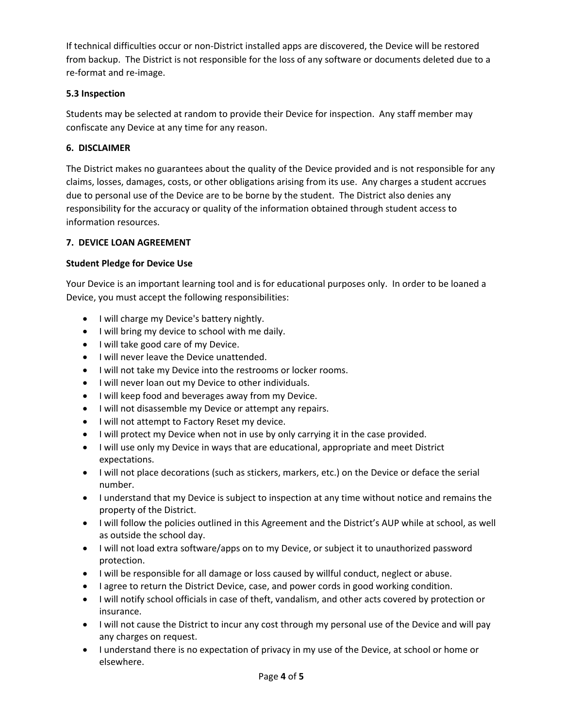If technical difficulties occur or non‐District installed apps are discovered, the Device will be restored from backup. The District is not responsible for the loss of any software or documents deleted due to a re‐format and re‐image.

# **5.3 Inspection**

Students may be selected at random to provide their Device for inspection. Any staff member may confiscate any Device at any time for any reason.

# **6. DISCLAIMER**

The District makes no guarantees about the quality of the Device provided and is not responsible for any claims, losses, damages, costs, or other obligations arising from its use. Any charges a student accrues due to personal use of the Device are to be borne by the student. The District also denies any responsibility for the accuracy or quality of the information obtained through student access to information resources.

# **7. DEVICE LOAN AGREEMENT**

# **Student Pledge for Device Use**

Your Device is an important learning tool and is for educational purposes only. In order to be loaned a Device, you must accept the following responsibilities:

- I will charge my Device's battery nightly.
- I will bring my device to school with me daily.
- I will take good care of my Device.
- I will never leave the Device unattended.
- I will not take my Device into the restrooms or locker rooms.
- I will never loan out my Device to other individuals.
- I will keep food and beverages away from my Device.
- I will not disassemble my Device or attempt any repairs.
- I will not attempt to Factory Reset my device.
- I will protect my Device when not in use by only carrying it in the case provided.
- I will use only my Device in ways that are educational, appropriate and meet District expectations.
- I will not place decorations (such as stickers, markers, etc.) on the Device or deface the serial number.
- I understand that my Device is subject to inspection at any time without notice and remains the property of the District.
- I will follow the policies outlined in this Agreement and the District's AUP while at school, as well as outside the school day.
- I will not load extra software/apps on to my Device, or subject it to unauthorized password protection.
- I will be responsible for all damage or loss caused by willful conduct, neglect or abuse.
- I agree to return the District Device, case, and power cords in good working condition.
- I will notify school officials in case of theft, vandalism, and other acts covered by protection or insurance.
- I will not cause the District to incur any cost through my personal use of the Device and will pay any charges on request.
- I understand there is no expectation of privacy in my use of the Device, at school or home or elsewhere.